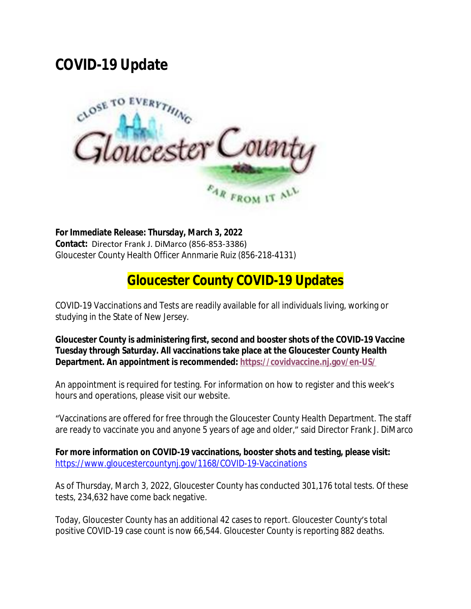## **COVID-19 Update**



**For Immediate Release: Thursday, March 3, 2022 Contact:** Director Frank J. DiMarco (856-853-3386) Gloucester County Health Officer Annmarie Ruiz (856-218-4131)

## **Gloucester County COVID-19 Updates**

COVID-19 Vaccinations and Tests are readily available for all individuals living, working or studying in the State of New Jersey.

**Gloucester County is administering first, second and booster shots of the COVID-19 Vaccine Tuesday through Saturday. All vaccinations take place at the Gloucester County Health Department. An appointment is recommended: <https://covidvaccine.nj.gov/en-US/>**

An appointment is required for testing. For information on how to register and this week's hours and operations, please visit our website.

"Vaccinations are offered for free through the Gloucester County Health Department. The staff are ready to vaccinate you and anyone 5 years of age and older," said Director Frank J. DiMarco

**For more information on COVID-19 vaccinations, booster shots and testing, please visit:** <https://www.gloucestercountynj.gov/1168/COVID-19-Vaccinations>

As of Thursday, March 3, 2022, Gloucester County has conducted 301,176 total tests. Of these tests, 234,632 have come back negative.

Today, Gloucester County has an additional 42 cases to report. Gloucester County's total positive COVID-19 case count is now 66,544. Gloucester County is reporting 882 deaths.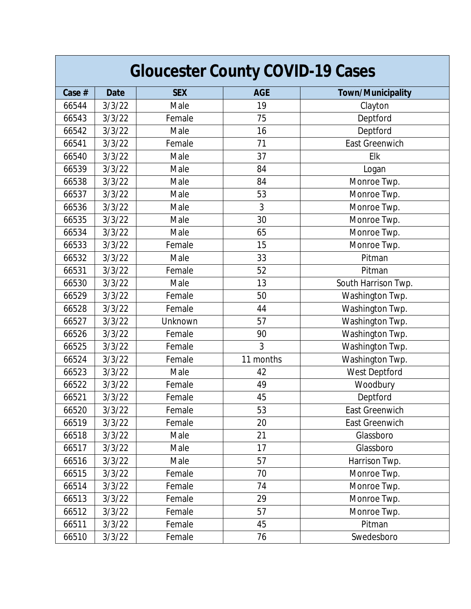| <b>Gloucester County COVID-19 Cases</b> |             |            |            |                          |  |
|-----------------------------------------|-------------|------------|------------|--------------------------|--|
| Case #                                  | <b>Date</b> | <b>SEX</b> | <b>AGE</b> | <b>Town/Municipality</b> |  |
| 66544                                   | 3/3/22      | Male       | 19         | Clayton                  |  |
| 66543                                   | 3/3/22      | Female     | 75         | Deptford                 |  |
| 66542                                   | 3/3/22      | Male       | 16         | Deptford                 |  |
| 66541                                   | 3/3/22      | Female     | 71         | East Greenwich           |  |
| 66540                                   | 3/3/22      | Male       | 37         | Elk                      |  |
| 66539                                   | 3/3/22      | Male       | 84         | Logan                    |  |
| 66538                                   | 3/3/22      | Male       | 84         | Monroe Twp.              |  |
| 66537                                   | 3/3/22      | Male       | 53         | Monroe Twp.              |  |
| 66536                                   | 3/3/22      | Male       | 3          | Monroe Twp.              |  |
| 66535                                   | 3/3/22      | Male       | 30         | Monroe Twp.              |  |
| 66534                                   | 3/3/22      | Male       | 65         | Monroe Twp.              |  |
| 66533                                   | 3/3/22      | Female     | 15         | Monroe Twp.              |  |
| 66532                                   | 3/3/22      | Male       | 33         | Pitman                   |  |
| 66531                                   | 3/3/22      | Female     | 52         | Pitman                   |  |
| 66530                                   | 3/3/22      | Male       | 13         | South Harrison Twp.      |  |
| 66529                                   | 3/3/22      | Female     | 50         | Washington Twp.          |  |
| 66528                                   | 3/3/22      | Female     | 44         | Washington Twp.          |  |
| 66527                                   | 3/3/22      | Unknown    | 57         | Washington Twp.          |  |
| 66526                                   | 3/3/22      | Female     | 90         | Washington Twp.          |  |
| 66525                                   | 3/3/22      | Female     | 3          | Washington Twp.          |  |
| 66524                                   | 3/3/22      | Female     | 11 months  | Washington Twp.          |  |
| 66523                                   | 3/3/22      | Male       | 42         | West Deptford            |  |
| 66522                                   | 3/3/22      | Female     | 49         | Woodbury                 |  |
| 66521                                   | 3/3/22      | Female     | 45         | Deptford                 |  |
| 66520                                   | 3/3/22      | Female     | 53         | East Greenwich           |  |
| 66519                                   | 3/3/22      | Female     | 20         | East Greenwich           |  |
| 66518                                   | 3/3/22      | Male       | 21         | Glassboro                |  |
| 66517                                   | 3/3/22      | Male       | 17         | Glassboro                |  |
| 66516                                   | 3/3/22      | Male       | 57         | Harrison Twp.            |  |
| 66515                                   | 3/3/22      | Female     | 70         | Monroe Twp.              |  |
| 66514                                   | 3/3/22      | Female     | 74         | Monroe Twp.              |  |
| 66513                                   | 3/3/22      | Female     | 29         | Monroe Twp.              |  |
| 66512                                   | 3/3/22      | Female     | 57         | Monroe Twp.              |  |
| 66511                                   | 3/3/22      | Female     | 45         | Pitman                   |  |
| 66510                                   | 3/3/22      | Female     | 76         | Swedesboro               |  |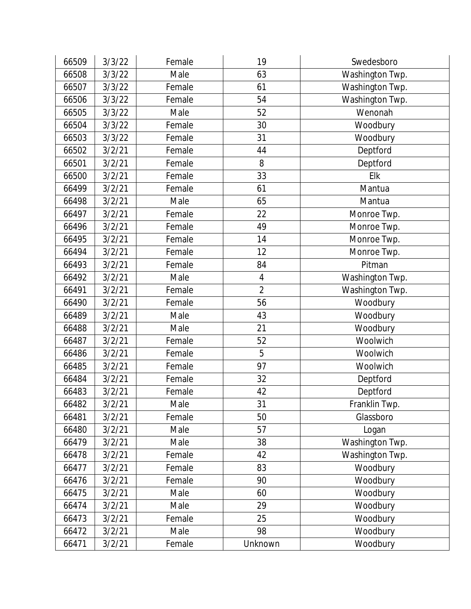| 66509 | 3/3/22 | Female | 19             | Swedesboro      |
|-------|--------|--------|----------------|-----------------|
| 66508 | 3/3/22 | Male   | 63             | Washington Twp. |
| 66507 | 3/3/22 | Female | 61             | Washington Twp. |
| 66506 | 3/3/22 | Female | 54             | Washington Twp. |
| 66505 | 3/3/22 | Male   | 52             | Wenonah         |
| 66504 | 3/3/22 | Female | 30             | Woodbury        |
| 66503 | 3/3/22 | Female | 31             | Woodbury        |
| 66502 | 3/2/21 | Female | 44             | Deptford        |
| 66501 | 3/2/21 | Female | 8              | Deptford        |
| 66500 | 3/2/21 | Female | 33             | Elk             |
| 66499 | 3/2/21 | Female | 61             | Mantua          |
| 66498 | 3/2/21 | Male   | 65             | Mantua          |
| 66497 | 3/2/21 | Female | 22             | Monroe Twp.     |
| 66496 | 3/2/21 | Female | 49             | Monroe Twp.     |
| 66495 | 3/2/21 | Female | 14             | Monroe Twp.     |
| 66494 | 3/2/21 | Female | 12             | Monroe Twp.     |
| 66493 | 3/2/21 | Female | 84             | Pitman          |
| 66492 | 3/2/21 | Male   | $\sqrt{4}$     | Washington Twp. |
| 66491 | 3/2/21 | Female | $\overline{2}$ | Washington Twp. |
| 66490 | 3/2/21 | Female | 56             | Woodbury        |
| 66489 | 3/2/21 | Male   | 43             | Woodbury        |
| 66488 | 3/2/21 | Male   | 21             | Woodbury        |
| 66487 | 3/2/21 | Female | 52             | Woolwich        |
| 66486 | 3/2/21 | Female | 5              | Woolwich        |
| 66485 | 3/2/21 | Female | 97             | Woolwich        |
| 66484 | 3/2/21 | Female | 32             | Deptford        |
| 66483 | 3/2/21 | Female | 42             | Deptford        |
| 66482 | 3/2/21 | Male   | 31             | Franklin Twp.   |
| 66481 | 3/2/21 | Female | 50             | Glassboro       |
| 66480 | 3/2/21 | Male   | 57             | Logan           |
| 66479 | 3/2/21 | Male   | 38             | Washington Twp. |
| 66478 | 3/2/21 | Female | 42             | Washington Twp. |
| 66477 | 3/2/21 | Female | 83             | Woodbury        |
| 66476 | 3/2/21 | Female | 90             | Woodbury        |
| 66475 | 3/2/21 | Male   | 60             | Woodbury        |
| 66474 | 3/2/21 | Male   | 29             | Woodbury        |
| 66473 | 3/2/21 | Female | 25             | Woodbury        |
| 66472 | 3/2/21 | Male   | 98             | Woodbury        |
| 66471 | 3/2/21 | Female | Unknown        | Woodbury        |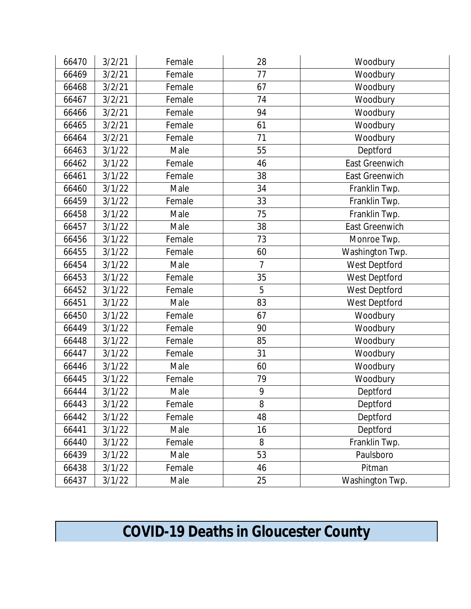| 66470 | 3/2/21 | Female | 28             | Woodbury              |
|-------|--------|--------|----------------|-----------------------|
| 66469 | 3/2/21 | Female | 77             | Woodbury              |
| 66468 | 3/2/21 | Female | 67             | Woodbury              |
| 66467 | 3/2/21 | Female | 74             | Woodbury              |
| 66466 | 3/2/21 | Female | 94             | Woodbury              |
| 66465 | 3/2/21 | Female | 61             | Woodbury              |
| 66464 | 3/2/21 | Female | 71             | Woodbury              |
| 66463 | 3/1/22 | Male   | 55             | Deptford              |
| 66462 | 3/1/22 | Female | 46             | East Greenwich        |
| 66461 | 3/1/22 | Female | 38             | <b>East Greenwich</b> |
| 66460 | 3/1/22 | Male   | 34             | Franklin Twp.         |
| 66459 | 3/1/22 | Female | 33             | Franklin Twp.         |
| 66458 | 3/1/22 | Male   | 75             | Franklin Twp.         |
| 66457 | 3/1/22 | Male   | 38             | East Greenwich        |
| 66456 | 3/1/22 | Female | 73             | Monroe Twp.           |
| 66455 | 3/1/22 | Female | 60             | Washington Twp.       |
| 66454 | 3/1/22 | Male   | $\overline{7}$ | West Deptford         |
| 66453 | 3/1/22 | Female | 35             | West Deptford         |
| 66452 | 3/1/22 | Female | 5              | West Deptford         |
| 66451 | 3/1/22 | Male   | 83             | West Deptford         |
| 66450 | 3/1/22 | Female | 67             | Woodbury              |
| 66449 | 3/1/22 | Female | 90             | Woodbury              |
| 66448 | 3/1/22 | Female | 85             | Woodbury              |
| 66447 | 3/1/22 | Female | 31             | Woodbury              |
| 66446 | 3/1/22 | Male   | 60             | Woodbury              |
| 66445 | 3/1/22 | Female | 79             | Woodbury              |
| 66444 | 3/1/22 | Male   | 9              | Deptford              |
| 66443 | 3/1/22 | Female | 8              | Deptford              |
| 66442 | 3/1/22 | Female | 48             | Deptford              |
| 66441 | 3/1/22 | Male   | 16             | Deptford              |
| 66440 | 3/1/22 | Female | 8              | Franklin Twp.         |
| 66439 | 3/1/22 | Male   | 53             | Paulsboro             |
| 66438 | 3/1/22 | Female | 46             | Pitman                |
| 66437 | 3/1/22 | Male   | 25             | Washington Twp.       |

## **COVID-19 Deaths in Gloucester County**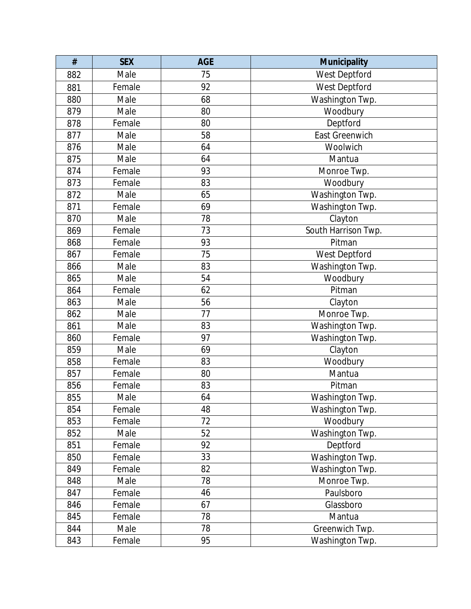| $\#$ | <b>SEX</b> | <b>AGE</b> | <b>Municipality</b> |
|------|------------|------------|---------------------|
| 882  | Male       | 75         | West Deptford       |
| 881  | Female     | 92         | West Deptford       |
| 880  | Male       | 68         | Washington Twp.     |
| 879  | Male       | 80         | Woodbury            |
| 878  | Female     | 80         | Deptford            |
| 877  | Male       | 58         | East Greenwich      |
| 876  | Male       | 64         | Woolwich            |
| 875  | Male       | 64         | Mantua              |
| 874  | Female     | 93         | Monroe Twp.         |
| 873  | Female     | 83         | Woodbury            |
| 872  | Male       | 65         | Washington Twp.     |
| 871  | Female     | 69         | Washington Twp.     |
| 870  | Male       | 78         | Clayton             |
| 869  | Female     | 73         | South Harrison Twp. |
| 868  | Female     | 93         | Pitman              |
| 867  | Female     | 75         | West Deptford       |
| 866  | Male       | 83         | Washington Twp.     |
| 865  | Male       | 54         | Woodbury            |
| 864  | Female     | 62         | Pitman              |
| 863  | Male       | 56         | Clayton             |
| 862  | Male       | 77         | Monroe Twp.         |
| 861  | Male       | 83         | Washington Twp.     |
| 860  | Female     | 97         | Washington Twp.     |
| 859  | Male       | 69         | Clayton             |
| 858  | Female     | 83         | Woodbury            |
| 857  | Female     | 80         | Mantua              |
| 856  | Female     | 83         | Pitman              |
| 855  | Male       | 64         | Washington Twp.     |
| 854  | Female     | 48         | Washington Twp.     |
| 853  | Female     | 72         | Woodbury            |
| 852  | Male       | 52         | Washington Twp.     |
| 851  | Female     | 92         | Deptford            |
| 850  | Female     | 33         | Washington Twp.     |
| 849  | Female     | 82         | Washington Twp.     |
| 848  | Male       | 78         | Monroe Twp.         |
| 847  | Female     | 46         | Paulsboro           |
| 846  | Female     | 67         | Glassboro           |
| 845  | Female     | 78         | Mantua              |
| 844  | Male       | 78         | Greenwich Twp.      |
| 843  | Female     | 95         | Washington Twp.     |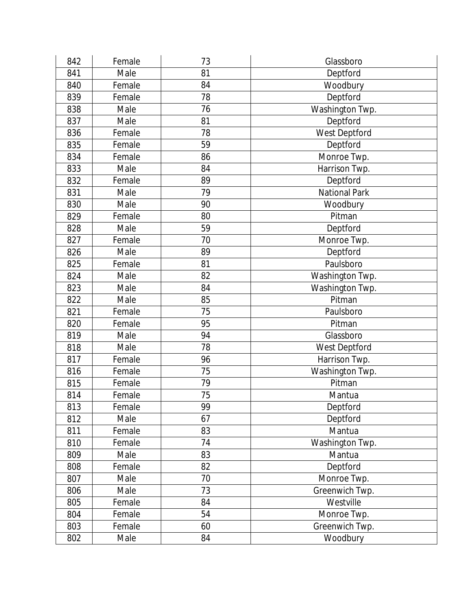| 842 | Female | 73 | Glassboro            |
|-----|--------|----|----------------------|
| 841 | Male   | 81 | Deptford             |
| 840 | Female | 84 | Woodbury             |
| 839 | Female | 78 | Deptford             |
| 838 | Male   | 76 | Washington Twp.      |
| 837 | Male   | 81 | Deptford             |
| 836 | Female | 78 | West Deptford        |
| 835 | Female | 59 | Deptford             |
| 834 | Female | 86 | Monroe Twp.          |
| 833 | Male   | 84 | Harrison Twp.        |
| 832 | Female | 89 | Deptford             |
| 831 | Male   | 79 | <b>National Park</b> |
| 830 | Male   | 90 | Woodbury             |
| 829 | Female | 80 | Pitman               |
| 828 | Male   | 59 | Deptford             |
| 827 | Female | 70 | Monroe Twp.          |
| 826 | Male   | 89 | Deptford             |
| 825 | Female | 81 | Paulsboro            |
| 824 | Male   | 82 | Washington Twp.      |
| 823 | Male   | 84 | Washington Twp.      |
| 822 | Male   | 85 | Pitman               |
| 821 | Female | 75 | Paulsboro            |
| 820 | Female | 95 | Pitman               |
| 819 | Male   | 94 | Glassboro            |
| 818 | Male   | 78 | West Deptford        |
| 817 | Female | 96 | Harrison Twp.        |
| 816 | Female | 75 | Washington Twp.      |
| 815 | Female | 79 | Pitman               |
| 814 | Female | 75 | Mantua               |
| 813 | Female | 99 | Deptford             |
| 812 | Male   | 67 | Deptford             |
| 811 | Female | 83 | Mantua               |
| 810 | Female | 74 | Washington Twp.      |
| 809 | Male   | 83 | Mantua               |
| 808 | Female | 82 | Deptford             |
| 807 | Male   | 70 | Monroe Twp.          |
| 806 | Male   | 73 | Greenwich Twp.       |
| 805 | Female | 84 | Westville            |
| 804 | Female | 54 | Monroe Twp.          |
| 803 | Female | 60 | Greenwich Twp.       |
| 802 | Male   | 84 | Woodbury             |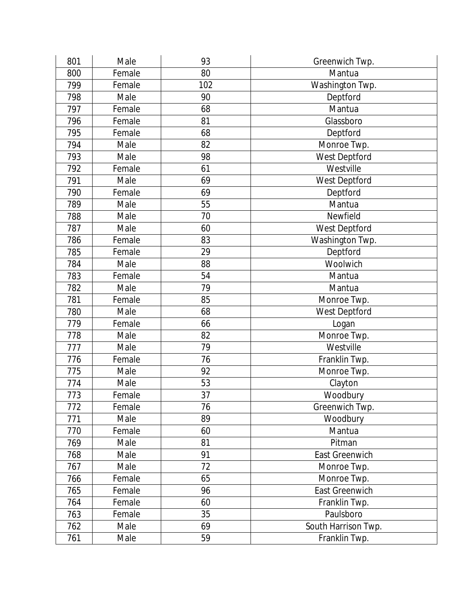| 801 | Male   | 93  | Greenwich Twp.      |
|-----|--------|-----|---------------------|
| 800 | Female | 80  | Mantua              |
| 799 | Female | 102 | Washington Twp.     |
| 798 | Male   | 90  | Deptford            |
| 797 | Female | 68  | Mantua              |
| 796 | Female | 81  | Glassboro           |
| 795 | Female | 68  | Deptford            |
| 794 | Male   | 82  | Monroe Twp.         |
| 793 | Male   | 98  | West Deptford       |
| 792 | Female | 61  | Westville           |
| 791 | Male   | 69  | West Deptford       |
| 790 | Female | 69  | Deptford            |
| 789 | Male   | 55  | Mantua              |
| 788 | Male   | 70  | Newfield            |
| 787 | Male   | 60  | West Deptford       |
| 786 | Female | 83  | Washington Twp.     |
| 785 | Female | 29  | Deptford            |
| 784 | Male   | 88  | Woolwich            |
| 783 | Female | 54  | Mantua              |
| 782 | Male   | 79  | Mantua              |
| 781 | Female | 85  | Monroe Twp.         |
| 780 | Male   | 68  | West Deptford       |
| 779 | Female | 66  | Logan               |
| 778 | Male   | 82  | Monroe Twp.         |
| 777 | Male   | 79  | Westville           |
| 776 | Female | 76  | Franklin Twp.       |
| 775 | Male   | 92  | Monroe Twp.         |
| 774 | Male   | 53  | Clayton             |
| 773 | Female | 37  | Woodbury            |
| 772 | Female | 76  | Greenwich Twp.      |
| 771 | Male   | 89  | Woodbury            |
| 770 | Female | 60  | Mantua              |
| 769 | Male   | 81  | Pitman              |
| 768 | Male   | 91  | East Greenwich      |
| 767 | Male   | 72  | Monroe Twp.         |
| 766 | Female | 65  | Monroe Twp.         |
| 765 | Female | 96  | East Greenwich      |
| 764 | Female | 60  | Franklin Twp.       |
| 763 | Female | 35  | Paulsboro           |
| 762 | Male   | 69  | South Harrison Twp. |
| 761 | Male   | 59  | Franklin Twp.       |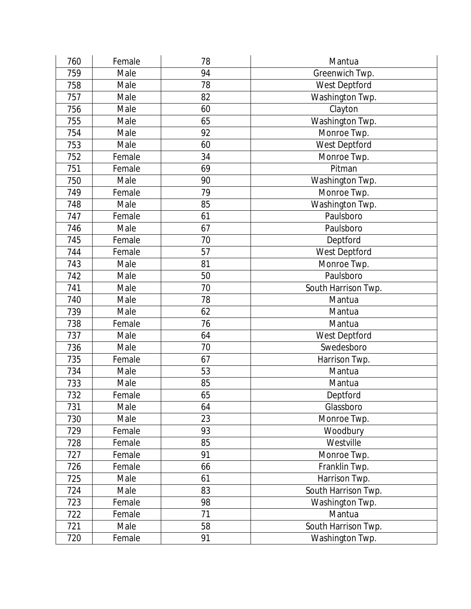| 760 | Female | 78 | Mantua              |
|-----|--------|----|---------------------|
| 759 | Male   | 94 | Greenwich Twp.      |
| 758 | Male   | 78 | West Deptford       |
| 757 | Male   | 82 | Washington Twp.     |
| 756 | Male   | 60 | Clayton             |
| 755 | Male   | 65 | Washington Twp.     |
| 754 | Male   | 92 | Monroe Twp.         |
| 753 | Male   | 60 | West Deptford       |
| 752 | Female | 34 | Monroe Twp.         |
| 751 | Female | 69 | Pitman              |
| 750 | Male   | 90 | Washington Twp.     |
| 749 | Female | 79 | Monroe Twp.         |
| 748 | Male   | 85 | Washington Twp.     |
| 747 | Female | 61 | Paulsboro           |
| 746 | Male   | 67 | Paulsboro           |
| 745 | Female | 70 | Deptford            |
| 744 | Female | 57 | West Deptford       |
| 743 | Male   | 81 | Monroe Twp.         |
| 742 | Male   | 50 | Paulsboro           |
| 741 | Male   | 70 | South Harrison Twp. |
| 740 | Male   | 78 | Mantua              |
| 739 | Male   | 62 | Mantua              |
| 738 | Female | 76 | Mantua              |
| 737 | Male   | 64 | West Deptford       |
| 736 | Male   | 70 | Swedesboro          |
| 735 | Female | 67 | Harrison Twp.       |
| 734 | Male   | 53 | Mantua              |
| 733 | Male   | 85 | Mantua              |
| 732 | Female | 65 | Deptford            |
| 731 | Male   | 64 | Glassboro           |
| 730 | Male   | 23 | Monroe Twp.         |
| 729 | Female | 93 | Woodbury            |
| 728 | Female | 85 | Westville           |
| 727 | Female | 91 | Monroe Twp.         |
| 726 | Female | 66 | Franklin Twp.       |
| 725 | Male   | 61 | Harrison Twp.       |
| 724 | Male   | 83 | South Harrison Twp. |
| 723 | Female | 98 | Washington Twp.     |
| 722 | Female | 71 | Mantua              |
| 721 | Male   | 58 | South Harrison Twp. |
| 720 | Female | 91 | Washington Twp.     |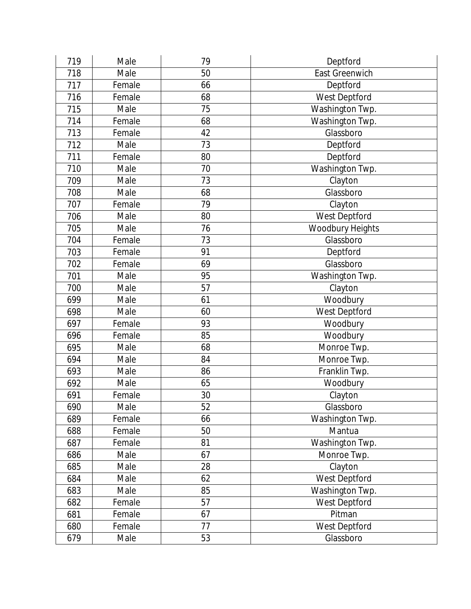| 719 | Male   | 79 | Deptford              |
|-----|--------|----|-----------------------|
| 718 | Male   | 50 | <b>East Greenwich</b> |
| 717 | Female | 66 | Deptford              |
| 716 | Female | 68 | West Deptford         |
| 715 | Male   | 75 | Washington Twp.       |
| 714 | Female | 68 | Washington Twp.       |
| 713 | Female | 42 | Glassboro             |
| 712 | Male   | 73 | Deptford              |
| 711 | Female | 80 | Deptford              |
| 710 | Male   | 70 | Washington Twp.       |
| 709 | Male   | 73 | Clayton               |
| 708 | Male   | 68 | Glassboro             |
| 707 | Female | 79 | Clayton               |
| 706 | Male   | 80 | West Deptford         |
| 705 | Male   | 76 | Woodbury Heights      |
| 704 | Female | 73 | Glassboro             |
| 703 | Female | 91 | Deptford              |
| 702 | Female | 69 | Glassboro             |
| 701 | Male   | 95 | Washington Twp.       |
| 700 | Male   | 57 | Clayton               |
| 699 | Male   | 61 | Woodbury              |
| 698 | Male   | 60 | West Deptford         |
| 697 | Female | 93 | Woodbury              |
| 696 | Female | 85 | Woodbury              |
| 695 | Male   | 68 | Monroe Twp.           |
| 694 | Male   | 84 | Monroe Twp.           |
| 693 | Male   | 86 | Franklin Twp.         |
| 692 | Male   | 65 | Woodbury              |
| 691 | Female | 30 | Clayton               |
| 690 | Male   | 52 | Glassboro             |
| 689 | Female | 66 | Washington Twp.       |
| 688 | Female | 50 | Mantua                |
| 687 | Female | 81 | Washington Twp.       |
| 686 | Male   | 67 | Monroe Twp.           |
| 685 | Male   | 28 | Clayton               |
| 684 | Male   | 62 | West Deptford         |
| 683 | Male   | 85 | Washington Twp.       |
| 682 | Female | 57 | West Deptford         |
| 681 | Female | 67 | Pitman                |
| 680 | Female | 77 | West Deptford         |
| 679 | Male   | 53 | Glassboro             |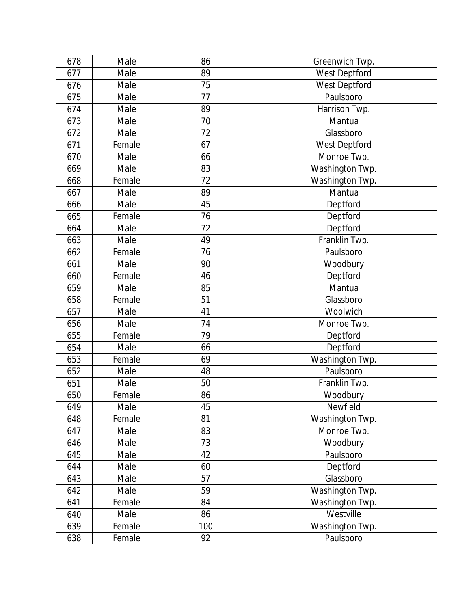| 678 | Male   | 86  | Greenwich Twp.  |
|-----|--------|-----|-----------------|
| 677 | Male   | 89  | West Deptford   |
| 676 | Male   | 75  | West Deptford   |
| 675 | Male   | 77  | Paulsboro       |
| 674 | Male   | 89  | Harrison Twp.   |
| 673 | Male   | 70  | Mantua          |
| 672 | Male   | 72  | Glassboro       |
| 671 | Female | 67  | West Deptford   |
| 670 | Male   | 66  | Monroe Twp.     |
| 669 | Male   | 83  | Washington Twp. |
| 668 | Female | 72  | Washington Twp. |
| 667 | Male   | 89  | Mantua          |
| 666 | Male   | 45  | Deptford        |
| 665 | Female | 76  | Deptford        |
| 664 | Male   | 72  | Deptford        |
| 663 | Male   | 49  | Franklin Twp.   |
| 662 | Female | 76  | Paulsboro       |
| 661 | Male   | 90  | Woodbury        |
| 660 | Female | 46  | Deptford        |
| 659 | Male   | 85  | Mantua          |
| 658 | Female | 51  | Glassboro       |
| 657 | Male   | 41  | Woolwich        |
| 656 | Male   | 74  | Monroe Twp.     |
| 655 | Female | 79  | Deptford        |
| 654 | Male   | 66  | Deptford        |
| 653 | Female | 69  | Washington Twp. |
| 652 | Male   | 48  | Paulsboro       |
| 651 | Male   | 50  | Franklin Twp.   |
| 650 | Female | 86  | Woodbury        |
| 649 | Male   | 45  | Newfield        |
| 648 | Female | 81  | Washington Twp. |
| 647 | Male   | 83  | Monroe Twp.     |
| 646 | Male   | 73  | Woodbury        |
| 645 | Male   | 42  | Paulsboro       |
| 644 | Male   | 60  | Deptford        |
| 643 | Male   | 57  | Glassboro       |
| 642 | Male   | 59  | Washington Twp. |
| 641 | Female | 84  | Washington Twp. |
| 640 | Male   | 86  | Westville       |
| 639 | Female | 100 | Washington Twp. |
| 638 | Female | 92  | Paulsboro       |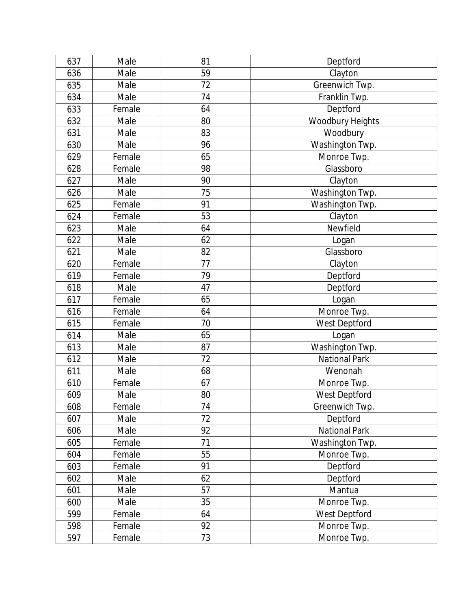| 637 | Male   | 81 | Deptford                |
|-----|--------|----|-------------------------|
| 636 | Male   | 59 | Clayton                 |
| 635 | Male   | 72 | Greenwich Twp.          |
| 634 | Male   | 74 | Franklin Twp.           |
| 633 | Female | 64 | Deptford                |
| 632 | Male   | 80 | <b>Woodbury Heights</b> |
| 631 | Male   | 83 | Woodbury                |
| 630 | Male   | 96 | Washington Twp.         |
| 629 | Female | 65 | Monroe Twp.             |
| 628 | Female | 98 | Glassboro               |
| 627 | Male   | 90 | Clayton                 |
| 626 | Male   | 75 | Washington Twp.         |
| 625 | Female | 91 | Washington Twp.         |
| 624 | Female | 53 | Clayton                 |
| 623 | Male   | 64 | Newfield                |
| 622 | Male   | 62 | Logan                   |
| 621 | Male   | 82 | Glassboro               |
| 620 | Female | 77 | Clayton                 |
| 619 | Female | 79 | Deptford                |
| 618 | Male   | 47 | Deptford                |
| 617 | Female | 65 | Logan                   |
| 616 | Female | 64 | Monroe Twp.             |
| 615 | Female | 70 | West Deptford           |
| 614 | Male   | 65 | Logan                   |
| 613 | Male   | 87 | Washington Twp.         |
| 612 | Male   | 72 | <b>National Park</b>    |
| 611 | Male   | 68 | Wenonah                 |
| 610 | Female | 67 | Monroe Twp.             |
| 609 | Male   | 80 | West Deptford           |
| 608 | Female | 74 | Greenwich Twp.          |
| 607 | Male   | 72 | Deptford                |
| 606 | Male   | 92 | <b>National Park</b>    |
| 605 | Female | 71 | Washington Twp.         |
| 604 | Female | 55 | Monroe Twp.             |
| 603 | Female | 91 | Deptford                |
| 602 | Male   | 62 | Deptford                |
| 601 | Male   | 57 | Mantua                  |
| 600 | Male   | 35 | Monroe Twp.             |
| 599 | Female | 64 | West Deptford           |
| 598 | Female | 92 | Monroe Twp.             |
| 597 | Female | 73 | Monroe Twp.             |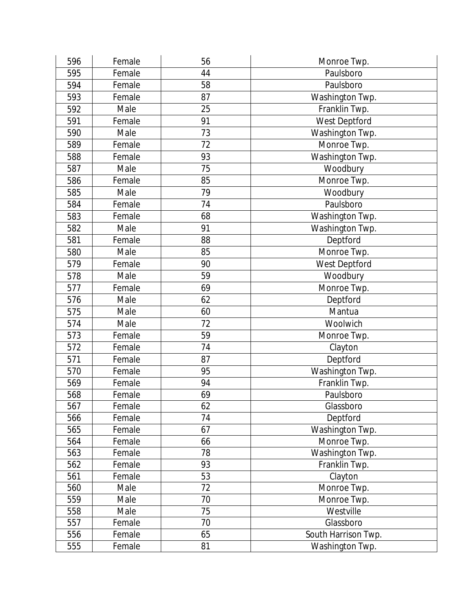| 596 | Female | 56 | Monroe Twp.         |
|-----|--------|----|---------------------|
| 595 | Female | 44 | Paulsboro           |
| 594 | Female | 58 | Paulsboro           |
| 593 | Female | 87 | Washington Twp.     |
| 592 | Male   | 25 | Franklin Twp.       |
| 591 | Female | 91 | West Deptford       |
| 590 | Male   | 73 | Washington Twp.     |
| 589 | Female | 72 | Monroe Twp.         |
| 588 | Female | 93 | Washington Twp.     |
| 587 | Male   | 75 | Woodbury            |
| 586 | Female | 85 | Monroe Twp.         |
| 585 | Male   | 79 | Woodbury            |
| 584 | Female | 74 | Paulsboro           |
| 583 | Female | 68 | Washington Twp.     |
| 582 | Male   | 91 | Washington Twp.     |
| 581 | Female | 88 | Deptford            |
| 580 | Male   | 85 | Monroe Twp.         |
| 579 | Female | 90 | West Deptford       |
| 578 | Male   | 59 | Woodbury            |
| 577 | Female | 69 | Monroe Twp.         |
| 576 | Male   | 62 | Deptford            |
| 575 | Male   | 60 | Mantua              |
| 574 | Male   | 72 | Woolwich            |
| 573 | Female | 59 | Monroe Twp.         |
| 572 | Female | 74 | Clayton             |
| 571 | Female | 87 | Deptford            |
| 570 | Female | 95 | Washington Twp.     |
| 569 | Female | 94 | Franklin Twp.       |
| 568 | Female | 69 | Paulsboro           |
| 567 | Female | 62 | Glassboro           |
| 566 | Female | 74 | Deptford            |
| 565 | Female | 67 | Washington Twp.     |
| 564 | Female | 66 | Monroe Twp.         |
| 563 | Female | 78 | Washington Twp.     |
| 562 | Female | 93 | Franklin Twp.       |
| 561 | Female | 53 | Clayton             |
| 560 | Male   | 72 | Monroe Twp.         |
| 559 | Male   | 70 | Monroe Twp.         |
| 558 | Male   | 75 | Westville           |
| 557 | Female | 70 | Glassboro           |
| 556 | Female | 65 | South Harrison Twp. |
| 555 | Female | 81 | Washington Twp.     |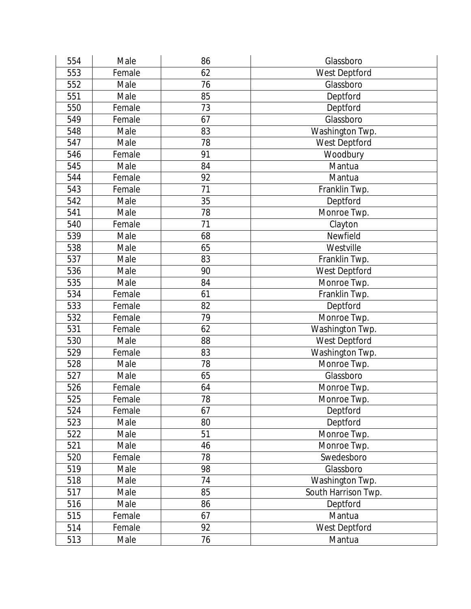| 554 | Male   | 86 | Glassboro           |
|-----|--------|----|---------------------|
| 553 | Female | 62 | West Deptford       |
| 552 | Male   | 76 | Glassboro           |
| 551 | Male   | 85 | Deptford            |
| 550 | Female | 73 | Deptford            |
| 549 | Female | 67 | Glassboro           |
| 548 | Male   | 83 | Washington Twp.     |
| 547 | Male   | 78 | West Deptford       |
| 546 | Female | 91 | Woodbury            |
| 545 | Male   | 84 | Mantua              |
| 544 | Female | 92 | Mantua              |
| 543 | Female | 71 | Franklin Twp.       |
| 542 | Male   | 35 | Deptford            |
| 541 | Male   | 78 | Monroe Twp.         |
| 540 | Female | 71 | Clayton             |
| 539 | Male   | 68 | Newfield            |
| 538 | Male   | 65 | Westville           |
| 537 | Male   | 83 | Franklin Twp.       |
| 536 | Male   | 90 | West Deptford       |
| 535 | Male   | 84 | Monroe Twp.         |
| 534 | Female | 61 | Franklin Twp.       |
| 533 | Female | 82 | Deptford            |
| 532 | Female | 79 | Monroe Twp.         |
| 531 | Female | 62 | Washington Twp.     |
| 530 | Male   | 88 | West Deptford       |
| 529 | Female | 83 | Washington Twp.     |
| 528 | Male   | 78 | Monroe Twp.         |
| 527 | Male   | 65 | Glassboro           |
| 526 | Female | 64 | Monroe Twp.         |
| 525 | Female | 78 | Monroe Twp.         |
| 524 | Female | 67 | Deptford            |
| 523 | Male   | 80 | Deptford            |
| 522 | Male   | 51 | Monroe Twp.         |
| 521 | Male   | 46 | Monroe Twp.         |
| 520 | Female | 78 | Swedesboro          |
| 519 | Male   | 98 | Glassboro           |
| 518 | Male   | 74 | Washington Twp.     |
| 517 | Male   | 85 | South Harrison Twp. |
| 516 | Male   | 86 | Deptford            |
| 515 | Female | 67 | Mantua              |
| 514 | Female | 92 | West Deptford       |
| 513 | Male   | 76 | Mantua              |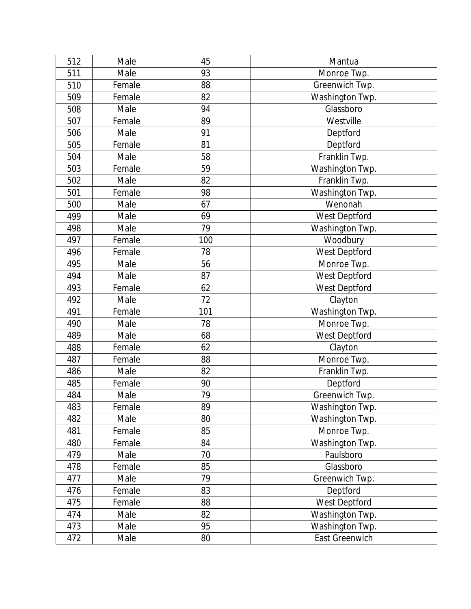| 512 | Male   | 45  | Mantua          |
|-----|--------|-----|-----------------|
| 511 | Male   | 93  | Monroe Twp.     |
| 510 | Female | 88  | Greenwich Twp.  |
| 509 | Female | 82  | Washington Twp. |
| 508 | Male   | 94  | Glassboro       |
| 507 | Female | 89  | Westville       |
| 506 | Male   | 91  | Deptford        |
| 505 | Female | 81  | Deptford        |
| 504 | Male   | 58  | Franklin Twp.   |
| 503 | Female | 59  | Washington Twp. |
| 502 | Male   | 82  | Franklin Twp.   |
| 501 | Female | 98  | Washington Twp. |
| 500 | Male   | 67  | Wenonah         |
| 499 | Male   | 69  | West Deptford   |
| 498 | Male   | 79  | Washington Twp. |
| 497 | Female | 100 | Woodbury        |
| 496 | Female | 78  | West Deptford   |
| 495 | Male   | 56  | Monroe Twp.     |
| 494 | Male   | 87  | West Deptford   |
| 493 | Female | 62  | West Deptford   |
| 492 | Male   | 72  | Clayton         |
| 491 | Female | 101 | Washington Twp. |
| 490 | Male   | 78  | Monroe Twp.     |
| 489 | Male   | 68  | West Deptford   |
| 488 | Female | 62  | Clayton         |
| 487 | Female | 88  | Monroe Twp.     |
| 486 | Male   | 82  | Franklin Twp.   |
| 485 | Female | 90  | Deptford        |
| 484 | Male   | 79  | Greenwich Twp.  |
| 483 | Female | 89  | Washington Twp. |
| 482 | Male   | 80  | Washington Twp. |
| 481 | Female | 85  | Monroe Twp.     |
| 480 | Female | 84  | Washington Twp. |
| 479 | Male   | 70  | Paulsboro       |
| 478 | Female | 85  | Glassboro       |
| 477 | Male   | 79  | Greenwich Twp.  |
| 476 | Female | 83  | Deptford        |
| 475 | Female | 88  | West Deptford   |
| 474 | Male   | 82  | Washington Twp. |
| 473 | Male   | 95  | Washington Twp. |
| 472 | Male   | 80  | East Greenwich  |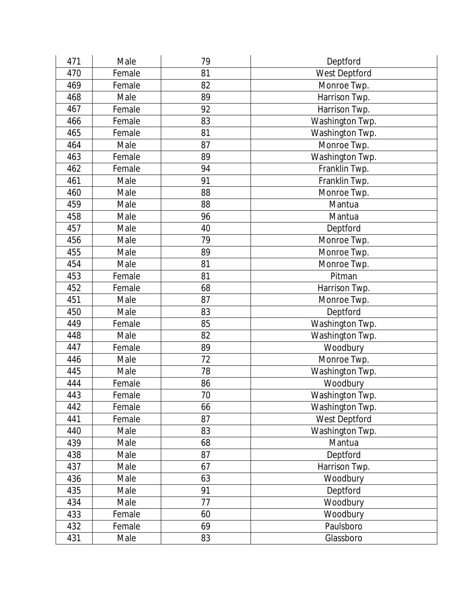| 471 | Male   | 79 | Deptford        |
|-----|--------|----|-----------------|
| 470 | Female | 81 | West Deptford   |
| 469 | Female | 82 | Monroe Twp.     |
| 468 | Male   | 89 | Harrison Twp.   |
| 467 | Female | 92 | Harrison Twp.   |
| 466 | Female | 83 | Washington Twp. |
| 465 | Female | 81 | Washington Twp. |
| 464 | Male   | 87 | Monroe Twp.     |
| 463 | Female | 89 | Washington Twp. |
| 462 | Female | 94 | Franklin Twp.   |
| 461 | Male   | 91 | Franklin Twp.   |
| 460 | Male   | 88 | Monroe Twp.     |
| 459 | Male   | 88 | Mantua          |
| 458 | Male   | 96 | Mantua          |
| 457 | Male   | 40 | Deptford        |
| 456 | Male   | 79 | Monroe Twp.     |
| 455 | Male   | 89 | Monroe Twp.     |
| 454 | Male   | 81 | Monroe Twp.     |
| 453 | Female | 81 | Pitman          |
| 452 | Female | 68 | Harrison Twp.   |
| 451 | Male   | 87 | Monroe Twp.     |
| 450 | Male   | 83 | Deptford        |
| 449 | Female | 85 | Washington Twp. |
| 448 | Male   | 82 | Washington Twp. |
| 447 | Female | 89 | Woodbury        |
| 446 | Male   | 72 | Monroe Twp.     |
| 445 | Male   | 78 | Washington Twp. |
| 444 | Female | 86 | Woodbury        |
| 443 | Female | 70 | Washington Twp. |
| 442 | Female | 66 | Washington Twp. |
| 441 | Female | 87 | West Deptford   |
| 440 | Male   | 83 | Washington Twp. |
| 439 | Male   | 68 | Mantua          |
| 438 | Male   | 87 | Deptford        |
| 437 | Male   | 67 | Harrison Twp.   |
| 436 | Male   | 63 | Woodbury        |
| 435 | Male   | 91 | Deptford        |
| 434 | Male   | 77 | Woodbury        |
| 433 | Female | 60 | Woodbury        |
| 432 | Female | 69 | Paulsboro       |
| 431 | Male   | 83 | Glassboro       |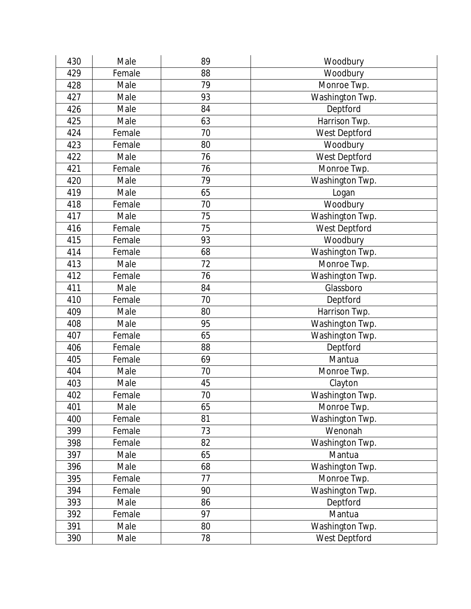| 430 | Male   | 89 | Woodbury        |
|-----|--------|----|-----------------|
| 429 | Female | 88 | Woodbury        |
| 428 | Male   | 79 | Monroe Twp.     |
| 427 | Male   | 93 | Washington Twp. |
| 426 | Male   | 84 | Deptford        |
| 425 | Male   | 63 | Harrison Twp.   |
| 424 | Female | 70 | West Deptford   |
| 423 | Female | 80 | Woodbury        |
| 422 | Male   | 76 | West Deptford   |
| 421 | Female | 76 | Monroe Twp.     |
| 420 | Male   | 79 | Washington Twp. |
| 419 | Male   | 65 | Logan           |
| 418 | Female | 70 | Woodbury        |
| 417 | Male   | 75 | Washington Twp. |
| 416 | Female | 75 | West Deptford   |
| 415 | Female | 93 | Woodbury        |
| 414 | Female | 68 | Washington Twp. |
| 413 | Male   | 72 | Monroe Twp.     |
| 412 | Female | 76 | Washington Twp. |
| 411 | Male   | 84 | Glassboro       |
| 410 | Female | 70 | Deptford        |
| 409 | Male   | 80 | Harrison Twp.   |
| 408 | Male   | 95 | Washington Twp. |
| 407 | Female | 65 | Washington Twp. |
| 406 | Female | 88 | Deptford        |
| 405 | Female | 69 | Mantua          |
| 404 | Male   | 70 | Monroe Twp.     |
| 403 | Male   | 45 | Clayton         |
| 402 | Female | 70 | Washington Twp. |
| 401 | Male   | 65 | Monroe Twp.     |
| 400 | Female | 81 | Washington Twp. |
| 399 | Female | 73 | Wenonah         |
| 398 | Female | 82 | Washington Twp. |
| 397 | Male   | 65 | Mantua          |
| 396 | Male   | 68 | Washington Twp. |
| 395 | Female | 77 | Monroe Twp.     |
| 394 | Female | 90 | Washington Twp. |
| 393 | Male   | 86 | Deptford        |
| 392 | Female | 97 | Mantua          |
| 391 | Male   | 80 | Washington Twp. |
| 390 | Male   | 78 | West Deptford   |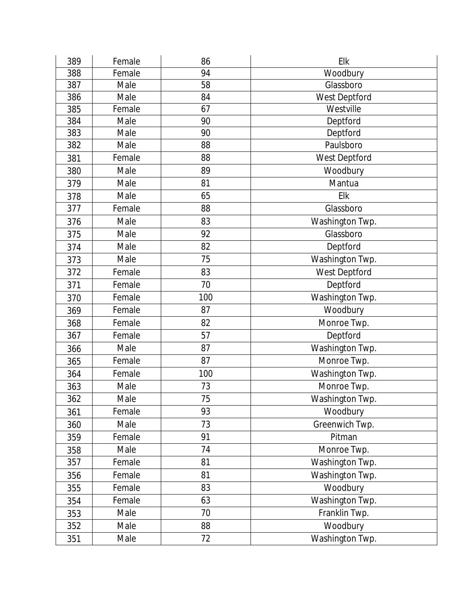| 389 | Female | 86  | Elk             |
|-----|--------|-----|-----------------|
| 388 | Female | 94  | Woodbury        |
| 387 | Male   | 58  | Glassboro       |
| 386 | Male   | 84  | West Deptford   |
| 385 | Female | 67  | Westville       |
| 384 | Male   | 90  | Deptford        |
| 383 | Male   | 90  | Deptford        |
| 382 | Male   | 88  | Paulsboro       |
| 381 | Female | 88  | West Deptford   |
| 380 | Male   | 89  | Woodbury        |
| 379 | Male   | 81  | Mantua          |
| 378 | Male   | 65  | Elk             |
| 377 | Female | 88  | Glassboro       |
| 376 | Male   | 83  | Washington Twp. |
| 375 | Male   | 92  | Glassboro       |
| 374 | Male   | 82  | Deptford        |
| 373 | Male   | 75  | Washington Twp. |
| 372 | Female | 83  | West Deptford   |
| 371 | Female | 70  | Deptford        |
| 370 | Female | 100 | Washington Twp. |
| 369 | Female | 87  | Woodbury        |
| 368 | Female | 82  | Monroe Twp.     |
| 367 | Female | 57  | Deptford        |
| 366 | Male   | 87  | Washington Twp. |
| 365 | Female | 87  | Monroe Twp.     |
| 364 | Female | 100 | Washington Twp. |
| 363 | Male   | 73  | Monroe Twp.     |
| 362 | Male   | 75  | Washington Twp. |
| 361 | Female | 93  | Woodbury        |
| 360 | Male   | 73  | Greenwich Twp.  |
| 359 | Female | 91  | Pitman          |
| 358 | Male   | 74  | Monroe Twp.     |
| 357 | Female | 81  | Washington Twp. |
| 356 | Female | 81  | Washington Twp. |
| 355 | Female | 83  | Woodbury        |
| 354 | Female | 63  | Washington Twp. |
| 353 | Male   | 70  | Franklin Twp.   |
| 352 | Male   | 88  | Woodbury        |
| 351 | Male   | 72  | Washington Twp. |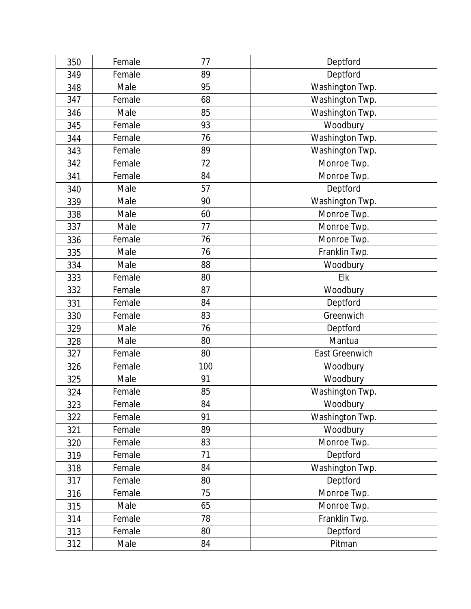| 350 | Female | 77  | Deptford              |
|-----|--------|-----|-----------------------|
| 349 | Female | 89  | Deptford              |
| 348 | Male   | 95  | Washington Twp.       |
| 347 | Female | 68  | Washington Twp.       |
| 346 | Male   | 85  | Washington Twp.       |
| 345 | Female | 93  | Woodbury              |
| 344 | Female | 76  | Washington Twp.       |
| 343 | Female | 89  | Washington Twp.       |
| 342 | Female | 72  | Monroe Twp.           |
| 341 | Female | 84  | Monroe Twp.           |
| 340 | Male   | 57  | Deptford              |
| 339 | Male   | 90  | Washington Twp.       |
| 338 | Male   | 60  | Monroe Twp.           |
| 337 | Male   | 77  | Monroe Twp.           |
| 336 | Female | 76  | Monroe Twp.           |
| 335 | Male   | 76  | Franklin Twp.         |
| 334 | Male   | 88  | Woodbury              |
| 333 | Female | 80  | Elk                   |
| 332 | Female | 87  | Woodbury              |
| 331 | Female | 84  | Deptford              |
| 330 | Female | 83  | Greenwich             |
| 329 | Male   | 76  | Deptford              |
| 328 | Male   | 80  | Mantua                |
| 327 | Female | 80  | <b>East Greenwich</b> |
| 326 | Female | 100 | Woodbury              |
| 325 | Male   | 91  | Woodbury              |
| 324 | Female | 85  | Washington Twp.       |
| 323 | Female | 84  | Woodbury              |
| 322 | Female | 91  | Washington Twp.       |
| 321 | Female | 89  | Woodbury              |
| 320 | Female | 83  | Monroe Twp.           |
| 319 | Female | 71  | Deptford              |
| 318 | Female | 84  | Washington Twp.       |
| 317 | Female | 80  | Deptford              |
| 316 | Female | 75  | Monroe Twp.           |
| 315 | Male   | 65  | Monroe Twp.           |
| 314 | Female | 78  | Franklin Twp.         |
| 313 | Female | 80  | Deptford              |
| 312 | Male   | 84  | Pitman                |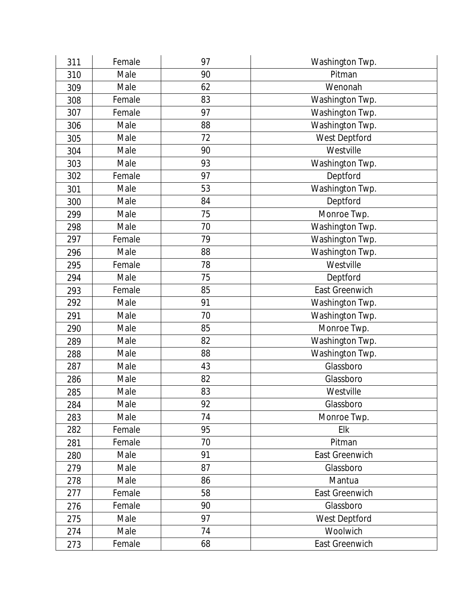| 311 | Female | 97 | Washington Twp. |
|-----|--------|----|-----------------|
| 310 | Male   | 90 | Pitman          |
| 309 | Male   | 62 | Wenonah         |
| 308 | Female | 83 | Washington Twp. |
| 307 | Female | 97 | Washington Twp. |
| 306 | Male   | 88 | Washington Twp. |
| 305 | Male   | 72 | West Deptford   |
| 304 | Male   | 90 | Westville       |
| 303 | Male   | 93 | Washington Twp. |
| 302 | Female | 97 | Deptford        |
| 301 | Male   | 53 | Washington Twp. |
| 300 | Male   | 84 | Deptford        |
| 299 | Male   | 75 | Monroe Twp.     |
| 298 | Male   | 70 | Washington Twp. |
| 297 | Female | 79 | Washington Twp. |
| 296 | Male   | 88 | Washington Twp. |
| 295 | Female | 78 | Westville       |
| 294 | Male   | 75 | Deptford        |
| 293 | Female | 85 | East Greenwich  |
| 292 | Male   | 91 | Washington Twp. |
| 291 | Male   | 70 | Washington Twp. |
| 290 | Male   | 85 | Monroe Twp.     |
| 289 | Male   | 82 | Washington Twp. |
| 288 | Male   | 88 | Washington Twp. |
| 287 | Male   | 43 | Glassboro       |
| 286 | Male   | 82 | Glassboro       |
| 285 | Male   | 83 | Westville       |
| 284 | Male   | 92 | Glassboro       |
| 283 | Male   | 74 | Monroe Twp.     |
| 282 | Female | 95 | Elk             |
| 281 | Female | 70 | Pitman          |
| 280 | Male   | 91 | East Greenwich  |
| 279 | Male   | 87 | Glassboro       |
| 278 | Male   | 86 | Mantua          |
| 277 | Female | 58 | East Greenwich  |
| 276 | Female | 90 | Glassboro       |
| 275 | Male   | 97 | West Deptford   |
| 274 | Male   | 74 | Woolwich        |
| 273 | Female | 68 | East Greenwich  |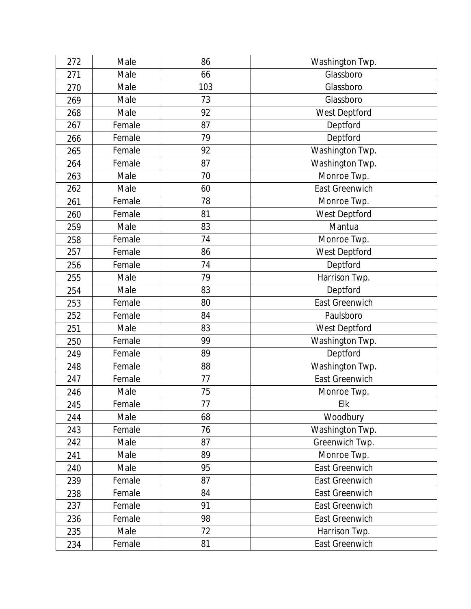| 272 | Male   | 86  | Washington Twp.       |
|-----|--------|-----|-----------------------|
| 271 | Male   | 66  | Glassboro             |
| 270 | Male   | 103 | Glassboro             |
| 269 | Male   | 73  | Glassboro             |
| 268 | Male   | 92  | West Deptford         |
| 267 | Female | 87  | Deptford              |
| 266 | Female | 79  | Deptford              |
| 265 | Female | 92  | Washington Twp.       |
| 264 | Female | 87  | Washington Twp.       |
| 263 | Male   | 70  | Monroe Twp.           |
| 262 | Male   | 60  | <b>East Greenwich</b> |
| 261 | Female | 78  | Monroe Twp.           |
| 260 | Female | 81  | West Deptford         |
| 259 | Male   | 83  | Mantua                |
| 258 | Female | 74  | Monroe Twp.           |
| 257 | Female | 86  | West Deptford         |
| 256 | Female | 74  | Deptford              |
| 255 | Male   | 79  | Harrison Twp.         |
| 254 | Male   | 83  | Deptford              |
| 253 | Female | 80  | East Greenwich        |
| 252 | Female | 84  | Paulsboro             |
| 251 | Male   | 83  | West Deptford         |
| 250 | Female | 99  | Washington Twp.       |
| 249 | Female | 89  | Deptford              |
| 248 | Female | 88  | Washington Twp.       |
| 247 | Female | 77  | East Greenwich        |
| 246 | Male   | 75  | Monroe Twp.           |
| 245 | Female | 77  | Elk                   |
| 244 | Male   | 68  | Woodbury              |
| 243 | Female | 76  | Washington Twp.       |
| 242 | Male   | 87  | Greenwich Twp.        |
| 241 | Male   | 89  | Monroe Twp.           |
| 240 | Male   | 95  | East Greenwich        |
| 239 | Female | 87  | East Greenwich        |
| 238 | Female | 84  | <b>East Greenwich</b> |
| 237 | Female | 91  | East Greenwich        |
| 236 | Female | 98  | East Greenwich        |
| 235 | Male   | 72  | Harrison Twp.         |
| 234 | Female | 81  | East Greenwich        |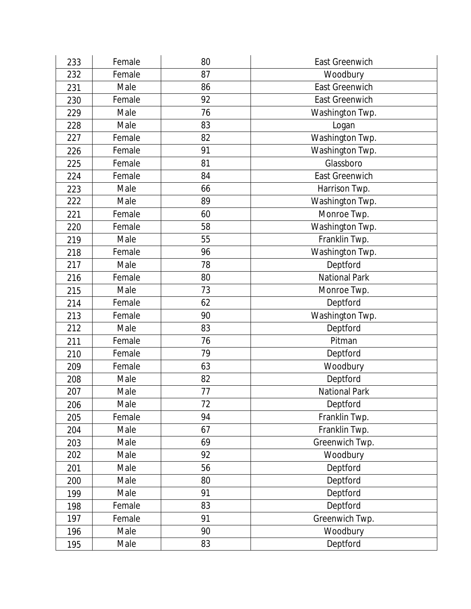| 233 | Female | 80 | East Greenwich        |
|-----|--------|----|-----------------------|
| 232 | Female | 87 | Woodbury              |
| 231 | Male   | 86 | <b>East Greenwich</b> |
| 230 | Female | 92 | <b>East Greenwich</b> |
| 229 | Male   | 76 | Washington Twp.       |
| 228 | Male   | 83 | Logan                 |
| 227 | Female | 82 | Washington Twp.       |
| 226 | Female | 91 | Washington Twp.       |
| 225 | Female | 81 | Glassboro             |
| 224 | Female | 84 | <b>East Greenwich</b> |
| 223 | Male   | 66 | Harrison Twp.         |
| 222 | Male   | 89 | Washington Twp.       |
| 221 | Female | 60 | Monroe Twp.           |
| 220 | Female | 58 | Washington Twp.       |
| 219 | Male   | 55 | Franklin Twp.         |
| 218 | Female | 96 | Washington Twp.       |
| 217 | Male   | 78 | Deptford              |
| 216 | Female | 80 | <b>National Park</b>  |
| 215 | Male   | 73 | Monroe Twp.           |
| 214 | Female | 62 | Deptford              |
| 213 | Female | 90 | Washington Twp.       |
| 212 | Male   | 83 | Deptford              |
| 211 | Female | 76 | Pitman                |
| 210 | Female | 79 | Deptford              |
| 209 | Female | 63 | Woodbury              |
| 208 | Male   | 82 | Deptford              |
| 207 | Male   | 77 | <b>National Park</b>  |
| 206 | Male   | 72 | Deptford              |
| 205 | Female | 94 | Franklin Twp.         |
| 204 | Male   | 67 | Franklin Twp.         |
| 203 | Male   | 69 | Greenwich Twp.        |
| 202 | Male   | 92 | Woodbury              |
| 201 | Male   | 56 | Deptford              |
| 200 | Male   | 80 | Deptford              |
| 199 | Male   | 91 | Deptford              |
| 198 | Female | 83 | Deptford              |
| 197 | Female | 91 | Greenwich Twp.        |
| 196 | Male   | 90 | Woodbury              |
| 195 | Male   | 83 | Deptford              |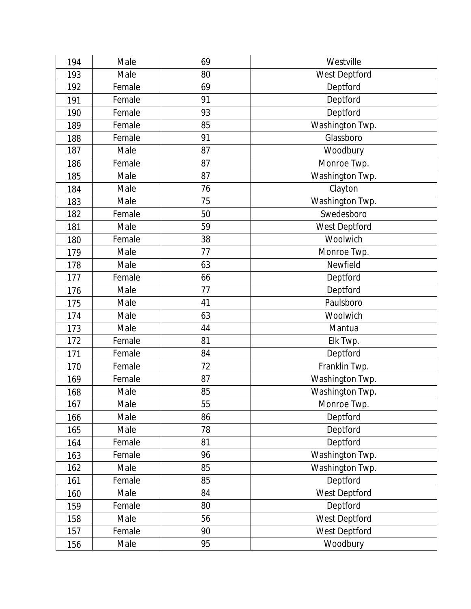| 194 | Male   | 69 | Westville       |
|-----|--------|----|-----------------|
| 193 | Male   | 80 | West Deptford   |
| 192 | Female | 69 | Deptford        |
| 191 | Female | 91 | Deptford        |
| 190 | Female | 93 | Deptford        |
| 189 | Female | 85 | Washington Twp. |
| 188 | Female | 91 | Glassboro       |
| 187 | Male   | 87 | Woodbury        |
| 186 | Female | 87 | Monroe Twp.     |
| 185 | Male   | 87 | Washington Twp. |
| 184 | Male   | 76 | Clayton         |
| 183 | Male   | 75 | Washington Twp. |
| 182 | Female | 50 | Swedesboro      |
| 181 | Male   | 59 | West Deptford   |
| 180 | Female | 38 | Woolwich        |
| 179 | Male   | 77 | Monroe Twp.     |
| 178 | Male   | 63 | Newfield        |
| 177 | Female | 66 | Deptford        |
| 176 | Male   | 77 | Deptford        |
| 175 | Male   | 41 | Paulsboro       |
| 174 | Male   | 63 | Woolwich        |
| 173 | Male   | 44 | Mantua          |
| 172 | Female | 81 | Elk Twp.        |
| 171 | Female | 84 | Deptford        |
| 170 | Female | 72 | Franklin Twp.   |
| 169 | Female | 87 | Washington Twp. |
| 168 | Male   | 85 | Washington Twp. |
| 167 | Male   | 55 | Monroe Twp.     |
| 166 | Male   | 86 | Deptford        |
| 165 | Male   | 78 | Deptford        |
| 164 | Female | 81 | Deptford        |
| 163 | Female | 96 | Washington Twp. |
| 162 | Male   | 85 | Washington Twp. |
| 161 | Female | 85 | Deptford        |
| 160 | Male   | 84 | West Deptford   |
| 159 | Female | 80 | Deptford        |
| 158 | Male   | 56 | West Deptford   |
| 157 | Female | 90 | West Deptford   |
| 156 | Male   | 95 | Woodbury        |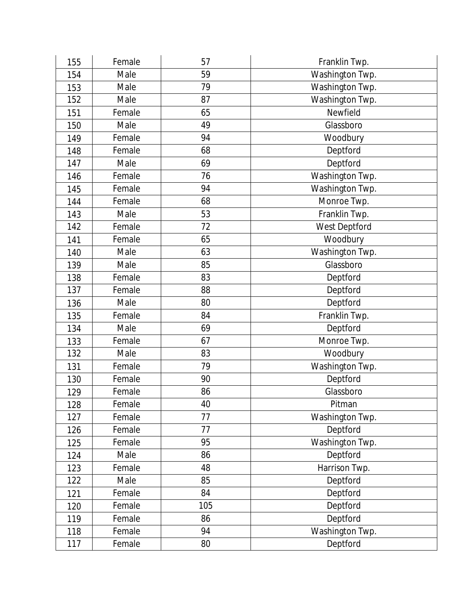| 155 | Female | 57  | Franklin Twp.   |
|-----|--------|-----|-----------------|
| 154 | Male   | 59  | Washington Twp. |
| 153 | Male   | 79  | Washington Twp. |
| 152 | Male   | 87  | Washington Twp. |
| 151 | Female | 65  | Newfield        |
| 150 | Male   | 49  | Glassboro       |
| 149 | Female | 94  | Woodbury        |
| 148 | Female | 68  | Deptford        |
| 147 | Male   | 69  | Deptford        |
| 146 | Female | 76  | Washington Twp. |
| 145 | Female | 94  | Washington Twp. |
| 144 | Female | 68  | Monroe Twp.     |
| 143 | Male   | 53  | Franklin Twp.   |
| 142 | Female | 72  | West Deptford   |
| 141 | Female | 65  | Woodbury        |
| 140 | Male   | 63  | Washington Twp. |
| 139 | Male   | 85  | Glassboro       |
| 138 | Female | 83  | Deptford        |
| 137 | Female | 88  | Deptford        |
| 136 | Male   | 80  | Deptford        |
| 135 | Female | 84  | Franklin Twp.   |
| 134 | Male   | 69  | Deptford        |
| 133 | Female | 67  | Monroe Twp.     |
| 132 | Male   | 83  | Woodbury        |
| 131 | Female | 79  | Washington Twp. |
| 130 | Female | 90  | Deptford        |
| 129 | Female | 86  | Glassboro       |
| 128 | Female | 40  | Pitman          |
| 127 | Female | 77  | Washington Twp. |
| 126 | Female | 77  | Deptford        |
| 125 | Female | 95  | Washington Twp. |
| 124 | Male   | 86  | Deptford        |
| 123 | Female | 48  | Harrison Twp.   |
| 122 | Male   | 85  | Deptford        |
| 121 | Female | 84  | Deptford        |
| 120 | Female | 105 | Deptford        |
| 119 | Female | 86  | Deptford        |
| 118 | Female | 94  | Washington Twp. |
| 117 | Female | 80  | Deptford        |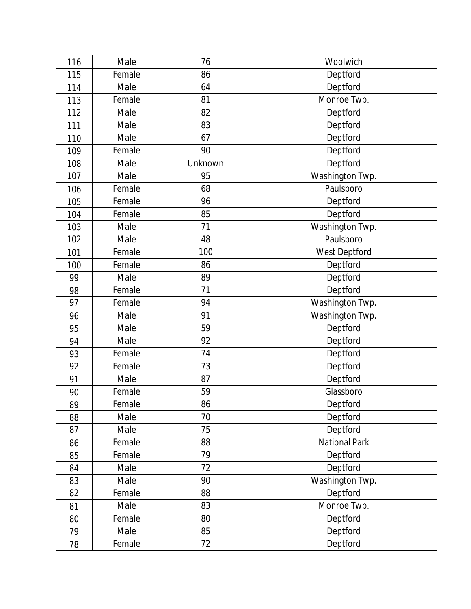| 116 | Male   | 76      | Woolwich        |
|-----|--------|---------|-----------------|
| 115 | Female | 86      | Deptford        |
| 114 | Male   | 64      | Deptford        |
| 113 | Female | 81      | Monroe Twp.     |
| 112 | Male   | 82      | Deptford        |
| 111 | Male   | 83      | Deptford        |
| 110 | Male   | 67      | Deptford        |
| 109 | Female | 90      | Deptford        |
| 108 | Male   | Unknown | Deptford        |
| 107 | Male   | 95      | Washington Twp. |
| 106 | Female | 68      | Paulsboro       |
| 105 | Female | 96      | Deptford        |
| 104 | Female | 85      | Deptford        |
| 103 | Male   | 71      | Washington Twp. |
| 102 | Male   | 48      | Paulsboro       |
| 101 | Female | 100     | West Deptford   |
| 100 | Female | 86      | Deptford        |
| 99  | Male   | 89      | Deptford        |
| 98  | Female | 71      | Deptford        |
| 97  | Female | 94      | Washington Twp. |
| 96  | Male   | 91      | Washington Twp. |
| 95  | Male   | 59      | Deptford        |
| 94  | Male   | 92      | Deptford        |
| 93  | Female | 74      | Deptford        |
| 92  | Female | 73      | Deptford        |
| 91  | Male   | 87      | Deptford        |
| 90  | Female | 59      | Glassboro       |
| 89  | Female | 86      | Deptford        |
| 88  | Male   | 70      | Deptford        |
| 87  | Male   | 75      | Deptford        |
| 86  | Female | 88      | National Park   |
| 85  | Female | 79      | Deptford        |
| 84  | Male   | 72      | Deptford        |
| 83  | Male   | 90      | Washington Twp. |
| 82  | Female | 88      | Deptford        |
| 81  | Male   | 83      | Monroe Twp.     |
| 80  | Female | 80      | Deptford        |
| 79  | Male   | 85      | Deptford        |
| 78  | Female | 72      | Deptford        |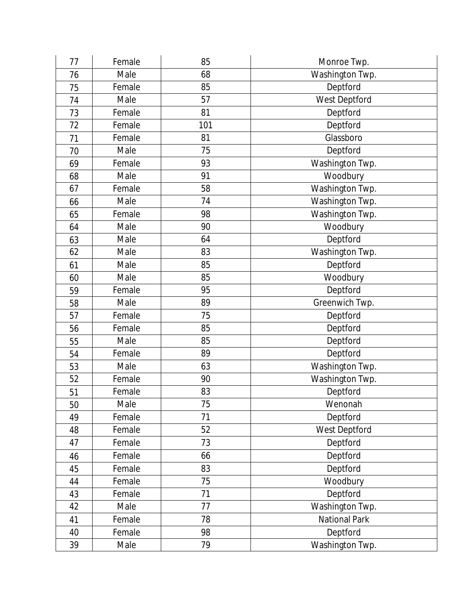| 77 | Female | 85  | Monroe Twp.     |
|----|--------|-----|-----------------|
| 76 | Male   | 68  | Washington Twp. |
| 75 | Female | 85  | Deptford        |
| 74 | Male   | 57  | West Deptford   |
| 73 | Female | 81  | Deptford        |
| 72 | Female | 101 | Deptford        |
| 71 | Female | 81  | Glassboro       |
| 70 | Male   | 75  | Deptford        |
| 69 | Female | 93  | Washington Twp. |
| 68 | Male   | 91  | Woodbury        |
| 67 | Female | 58  | Washington Twp. |
| 66 | Male   | 74  | Washington Twp. |
| 65 | Female | 98  | Washington Twp. |
| 64 | Male   | 90  | Woodbury        |
| 63 | Male   | 64  | Deptford        |
| 62 | Male   | 83  | Washington Twp. |
| 61 | Male   | 85  | Deptford        |
| 60 | Male   | 85  | Woodbury        |
| 59 | Female | 95  | Deptford        |
| 58 | Male   | 89  | Greenwich Twp.  |
| 57 | Female | 75  | Deptford        |
| 56 | Female | 85  | Deptford        |
| 55 | Male   | 85  | Deptford        |
| 54 | Female | 89  | Deptford        |
| 53 | Male   | 63  | Washington Twp. |
| 52 | Female | 90  | Washington Twp. |
| 51 | Female | 83  | Deptford        |
| 50 | Male   | 75  | Wenonah         |
| 49 | Female | 71  | Deptford        |
| 48 | Female | 52  | West Deptford   |
| 47 | Female | 73  | Deptford        |
| 46 | Female | 66  | Deptford        |
| 45 | Female | 83  | Deptford        |
| 44 | Female | 75  | Woodbury        |
| 43 | Female | 71  | Deptford        |
| 42 | Male   | 77  | Washington Twp. |
| 41 | Female | 78  | National Park   |
| 40 | Female | 98  | Deptford        |
| 39 | Male   | 79  | Washington Twp. |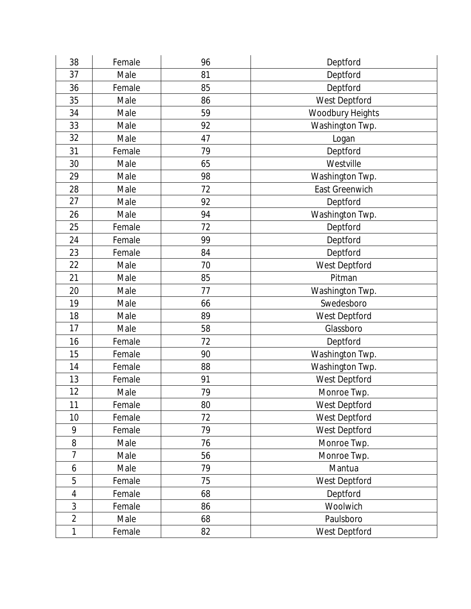| 38             | Female | 96 | Deptford         |
|----------------|--------|----|------------------|
| 37             | Male   | 81 | Deptford         |
| 36             | Female | 85 | Deptford         |
| 35             | Male   | 86 | West Deptford    |
| 34             | Male   | 59 | Woodbury Heights |
| 33             | Male   | 92 | Washington Twp.  |
| 32             | Male   | 47 | Logan            |
| 31             | Female | 79 | Deptford         |
| 30             | Male   | 65 | Westville        |
| 29             | Male   | 98 | Washington Twp.  |
| 28             | Male   | 72 | East Greenwich   |
| 27             | Male   | 92 | Deptford         |
| 26             | Male   | 94 | Washington Twp.  |
| 25             | Female | 72 | Deptford         |
| 24             | Female | 99 | Deptford         |
| 23             | Female | 84 | Deptford         |
| 22             | Male   | 70 | West Deptford    |
| 21             | Male   | 85 | Pitman           |
| 20             | Male   | 77 | Washington Twp.  |
| 19             | Male   | 66 | Swedesboro       |
| 18             | Male   | 89 | West Deptford    |
| 17             | Male   | 58 | Glassboro        |
| 16             | Female | 72 | Deptford         |
| 15             | Female | 90 | Washington Twp.  |
| 14             | Female | 88 | Washington Twp.  |
| 13             | Female | 91 | West Deptford    |
| 12             | Male   | 79 | Monroe Twp.      |
| 11             | Female | 80 | West Deptford    |
| 10             | Female | 72 | West Deptford    |
| 9              | Female | 79 | West Deptford    |
| 8              | Male   | 76 | Monroe Twp.      |
| 7              | Male   | 56 | Monroe Twp.      |
| 6              | Male   | 79 | Mantua           |
| 5              | Female | 75 | West Deptford    |
| $\overline{4}$ | Female | 68 | Deptford         |
| 3              | Female | 86 | Woolwich         |
| $\overline{2}$ | Male   | 68 | Paulsboro        |
| 1              | Female | 82 | West Deptford    |